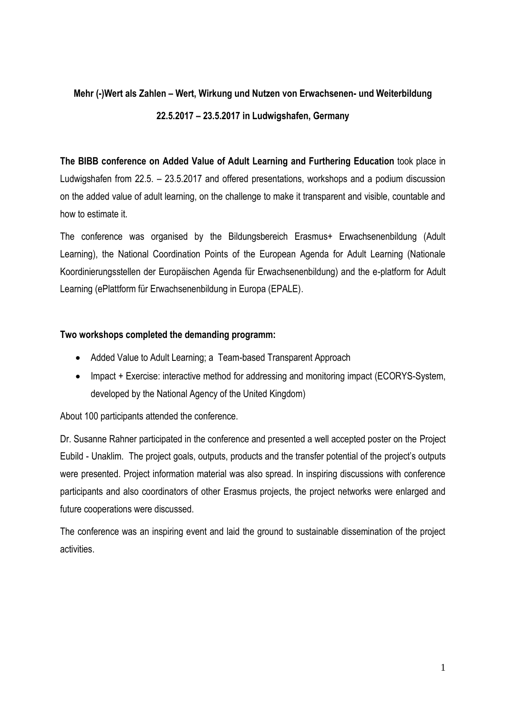## **Mehr (-)Wert als Zahlen – Wert, Wirkung und Nutzen von Erwachsenen- und Weiterbildung 22.5.2017 – 23.5.2017 in Ludwigshafen, Germany**

**The BIBB conference on Added Value of Adult Learning and Furthering Education** took place in Ludwigshafen from 22.5. – 23.5.2017 and offered presentations, workshops and a podium discussion on the added value of adult learning, on the challenge to make it transparent and visible, countable and how to estimate it.

The conference was organised by the Bildungsbereich Erasmus+ Erwachsenenbildung (Adult Learning), the National Coordination Points of the European Agenda for Adult Learning (Nationale Koordinierungsstellen der Europäischen Agenda für Erwachsenenbildung) and the e-platform for Adult Learning (ePlattform für Erwachsenenbildung in Europa (EPALE).

## **Two workshops completed the demanding programm:**

- Added Value to Adult Learning; a Team-based Transparent Approach
- Impact + Exercise: interactive method for addressing and monitoring impact (ECORYS-System, developed by the National Agency of the United Kingdom)

About 100 participants attended the conference.

Dr. Susanne Rahner participated in the conference and presented a well accepted poster on the Project Eubild - Unaklim. The project goals, outputs, products and the transfer potential of the project's outputs were presented. Project information material was also spread. In inspiring discussions with conference participants and also coordinators of other Erasmus projects, the project networks were enlarged and future cooperations were discussed.

The conference was an inspiring event and laid the ground to sustainable dissemination of the project activities.